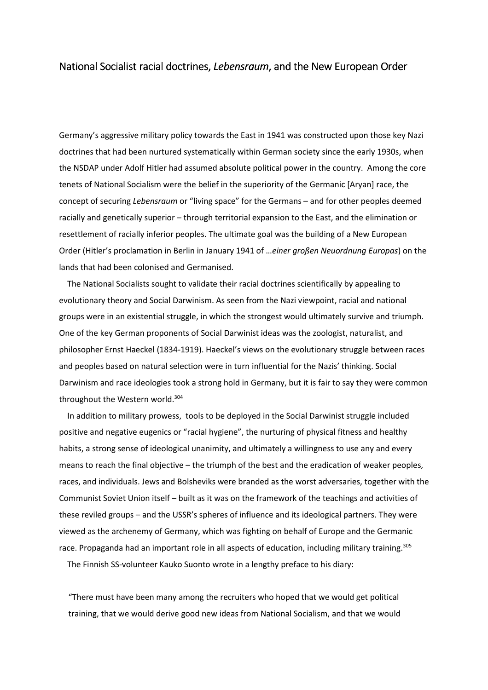## National Socialist racial doctrines, *Lebensraum*, and the New European Order

Germany's aggressive military policy towards the East in 1941 was constructed upon those key Nazi doctrines that had been nurtured systematically within German society since the early 1930s, when the NSDAP under Adolf Hitler had assumed absolute political power in the country. Among the core tenets of National Socialism were the belief in the superiority of the Germanic [Aryan] race, the concept of securing *Lebensraum* or "living space" for the Germans – and for other peoples deemed racially and genetically superior – through territorial expansion to the East, and the elimination or resettlement of racially inferior peoples. The ultimate goal was the building of a New European Order (Hitler's proclamation in Berlin in January 1941 of …*einer großen Neuordnung Europas*) on the lands that had been colonised and Germanised.

 The National Socialists sought to validate their racial doctrines scientifically by appealing to evolutionary theory and Social Darwinism. As seen from the Nazi viewpoint, racial and national groups were in an existential struggle, in which the strongest would ultimately survive and triumph. One of the key German proponents of Social Darwinist ideas was the zoologist, naturalist, and philosopher Ernst Haeckel (1834-1919). Haeckel's views on the evolutionary struggle between races and peoples based on natural selection were in turn influential for the Nazis' thinking. Social Darwinism and race ideologies took a strong hold in Germany, but it is fair to say they were common throughout the Western world.<sup>304</sup>

 In addition to military prowess, tools to be deployed in the Social Darwinist struggle included positive and negative eugenics or "racial hygiene", the nurturing of physical fitness and healthy habits, a strong sense of ideological unanimity, and ultimately a willingness to use any and every means to reach the final objective – the triumph of the best and the eradication of weaker peoples, races, and individuals. Jews and Bolsheviks were branded as the worst adversaries, together with the Communist Soviet Union itself – built as it was on the framework of the teachings and activities of these reviled groups – and the USSR's spheres of influence and its ideological partners. They were viewed as the archenemy of Germany, which was fighting on behalf of Europe and the Germanic race. Propaganda had an important role in all aspects of education, including military training.<sup>305</sup>

The Finnish SS-volunteer Kauko Suonto wrote in a lengthy preface to his diary:

"There must have been many among the recruiters who hoped that we would get political training, that we would derive good new ideas from National Socialism, and that we would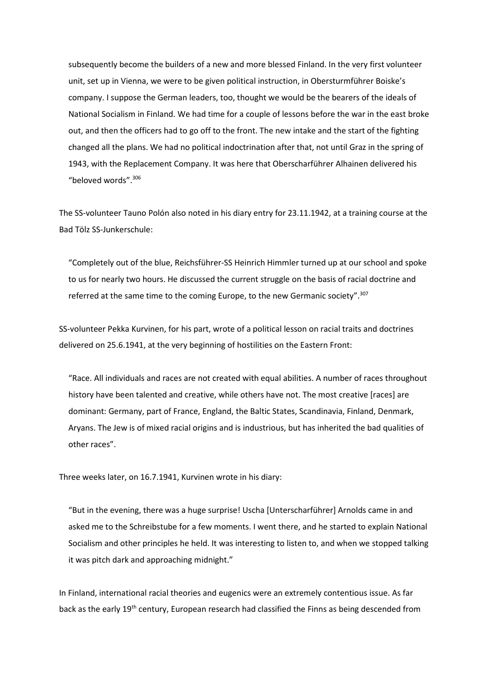subsequently become the builders of a new and more blessed Finland. In the very first volunteer unit, set up in Vienna, we were to be given political instruction, in Obersturmführer Boiske's company. I suppose the German leaders, too, thought we would be the bearers of the ideals of National Socialism in Finland. We had time for a couple of lessons before the war in the east broke out, and then the officers had to go off to the front. The new intake and the start of the fighting changed all the plans. We had no political indoctrination after that, not until Graz in the spring of 1943, with the Replacement Company. It was here that Oberscharführer Alhainen delivered his "beloved words".<sup>306</sup>

The SS-volunteer Tauno Polón also noted in his diary entry for 23.11.1942, at a training course at the Bad Tölz SS-Junkerschule:

"Completely out of the blue, Reichsführer-SS Heinrich Himmler turned up at our school and spoke to us for nearly two hours. He discussed the current struggle on the basis of racial doctrine and referred at the same time to the coming Europe, to the new Germanic society".<sup>307</sup>

SS-volunteer Pekka Kurvinen, for his part, wrote of a political lesson on racial traits and doctrines delivered on 25.6.1941, at the very beginning of hostilities on the Eastern Front:

"Race. All individuals and races are not created with equal abilities. A number of races throughout history have been talented and creative, while others have not. The most creative [races] are dominant: Germany, part of France, England, the Baltic States, Scandinavia, Finland, Denmark, Aryans. The Jew is of mixed racial origins and is industrious, but has inherited the bad qualities of other races".

Three weeks later, on 16.7.1941, Kurvinen wrote in his diary:

"But in the evening, there was a huge surprise! Uscha [Unterscharführer] Arnolds came in and asked me to the Schreibstube for a few moments. I went there, and he started to explain National Socialism and other principles he held. It was interesting to listen to, and when we stopped talking it was pitch dark and approaching midnight."

In Finland, international racial theories and eugenics were an extremely contentious issue. As far back as the early 19<sup>th</sup> century, European research had classified the Finns as being descended from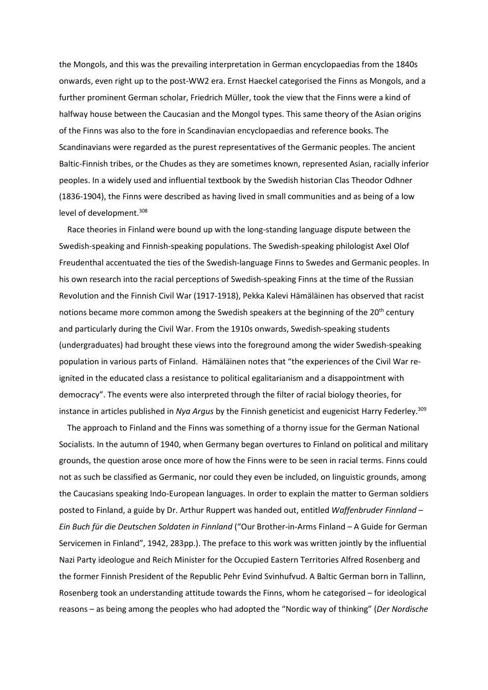the Mongols, and this was the prevailing interpretation in German encyclopaedias from the 1840s onwards, even right up to the post-WW2 era. Ernst Haeckel categorised the Finns as Mongols, and a further prominent German scholar, Friedrich Müller, took the view that the Finns were a kind of halfway house between the Caucasian and the Mongol types. This same theory of the Asian origins of the Finns was also to the fore in Scandinavian encyclopaedias and reference books. The Scandinavians were regarded as the purest representatives of the Germanic peoples. The ancient Baltic-Finnish tribes, or the Chudes as they are sometimes known, represented Asian, racially inferior peoples. In a widely used and influential textbook by the Swedish historian Clas Theodor Odhner (1836-1904), the Finns were described as having lived in small communities and as being of a low level of development.<sup>308</sup>

 Race theories in Finland were bound up with the long-standing language dispute between the Swedish-speaking and Finnish-speaking populations. The Swedish-speaking philologist Axel Olof Freudenthal accentuated the ties of the Swedish-language Finns to Swedes and Germanic peoples. In his own research into the racial perceptions of Swedish-speaking Finns at the time of the Russian Revolution and the Finnish Civil War (1917-1918), Pekka Kalevi Hämäläinen has observed that racist notions became more common among the Swedish speakers at the beginning of the  $20<sup>th</sup>$  century and particularly during the Civil War. From the 1910s onwards, Swedish-speaking students (undergraduates) had brought these views into the foreground among the wider Swedish-speaking population in various parts of Finland. Hämäläinen notes that "the experiences of the Civil War reignited in the educated class a resistance to political egalitarianism and a disappointment with democracy". The events were also interpreted through the filter of racial biology theories, for instance in articles published in *Nya Argus* by the Finnish geneticist and eugenicist Harry Federley.<sup>309</sup>

 The approach to Finland and the Finns was something of a thorny issue for the German National Socialists. In the autumn of 1940, when Germany began overtures to Finland on political and military grounds, the question arose once more of how the Finns were to be seen in racial terms. Finns could not as such be classified as Germanic, nor could they even be included, on linguistic grounds, among the Caucasians speaking Indo-European languages. In order to explain the matter to German soldiers posted to Finland, a guide by Dr. Arthur Ruppert was handed out, entitled *Waffenbruder Finnland – Ein Buch für die Deutschen Soldaten in Finnland* ("Our Brother-in-Arms Finland – A Guide for German Servicemen in Finland", 1942, 283pp.). The preface to this work was written jointly by the influential Nazi Party ideologue and Reich Minister for the Occupied Eastern Territories Alfred Rosenberg and the former Finnish President of the Republic Pehr Evind Svinhufvud. A Baltic German born in Tallinn, Rosenberg took an understanding attitude towards the Finns, whom he categorised – for ideological reasons – as being among the peoples who had adopted the "Nordic way of thinking" (*Der Nordische*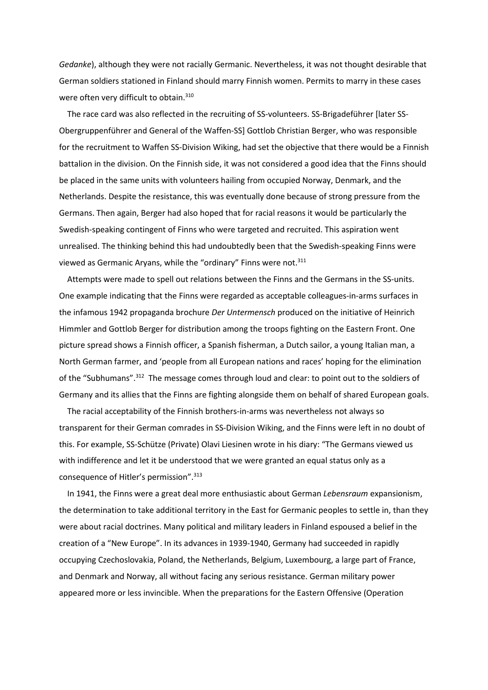*Gedanke*), although they were not racially Germanic. Nevertheless, it was not thought desirable that German soldiers stationed in Finland should marry Finnish women. Permits to marry in these cases were often very difficult to obtain.<sup>310</sup>

 The race card was also reflected in the recruiting of SS-volunteers. SS-Brigadeführer [later SS-Obergruppenführer and General of the Waffen-SS] Gottlob Christian Berger, who was responsible for the recruitment to Waffen SS-Division Wiking, had set the objective that there would be a Finnish battalion in the division. On the Finnish side, it was not considered a good idea that the Finns should be placed in the same units with volunteers hailing from occupied Norway, Denmark, and the Netherlands. Despite the resistance, this was eventually done because of strong pressure from the Germans. Then again, Berger had also hoped that for racial reasons it would be particularly the Swedish-speaking contingent of Finns who were targeted and recruited. This aspiration went unrealised. The thinking behind this had undoubtedly been that the Swedish-speaking Finns were viewed as Germanic Aryans, while the "ordinary" Finns were not.<sup>311</sup>

 Attempts were made to spell out relations between the Finns and the Germans in the SS-units. One example indicating that the Finns were regarded as acceptable colleagues-in-arms surfaces in the infamous 1942 propaganda brochure *Der Untermensch* produced on the initiative of Heinrich Himmler and Gottlob Berger for distribution among the troops fighting on the Eastern Front. One picture spread shows a Finnish officer, a Spanish fisherman, a Dutch sailor, a young Italian man, a North German farmer, and 'people from all European nations and races' hoping for the elimination of the "Subhumans".<sup>312</sup> The message comes through loud and clear: to point out to the soldiers of Germany and its allies that the Finns are fighting alongside them on behalf of shared European goals.

 The racial acceptability of the Finnish brothers-in-arms was nevertheless not always so transparent for their German comrades in SS-Division Wiking, and the Finns were left in no doubt of this. For example, SS-Schütze (Private) Olavi Liesinen wrote in his diary: "The Germans viewed us with indifference and let it be understood that we were granted an equal status only as a consequence of Hitler's permission".<sup>313</sup>

 In 1941, the Finns were a great deal more enthusiastic about German *Lebensraum* expansionism, the determination to take additional territory in the East for Germanic peoples to settle in, than they were about racial doctrines. Many political and military leaders in Finland espoused a belief in the creation of a "New Europe". In its advances in 1939-1940, Germany had succeeded in rapidly occupying Czechoslovakia, Poland, the Netherlands, Belgium, Luxembourg, a large part of France, and Denmark and Norway, all without facing any serious resistance. German military power appeared more or less invincible. When the preparations for the Eastern Offensive (Operation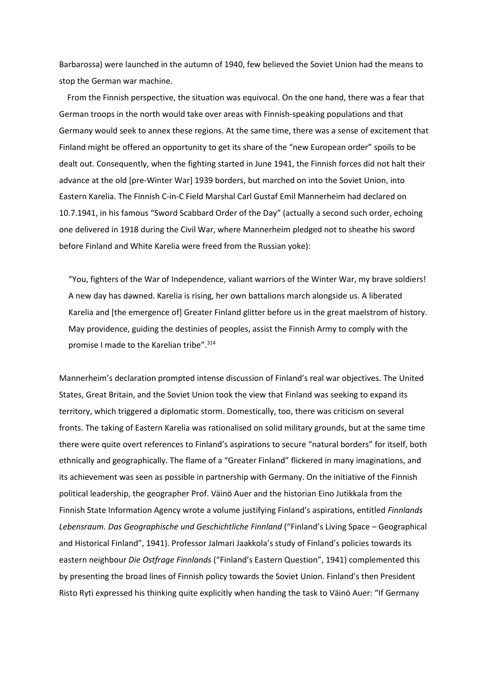Barbarossa) were launched in the autumn of 1940, few believed the Soviet Union had the means to stop the German war machine.

 From the Finnish perspective, the situation was equivocal. On the one hand, there was a fear that German troops in the north would take over areas with Finnish-speaking populations and that Germany would seek to annex these regions. At the same time, there was a sense of excitement that Finland might be offered an opportunity to get its share of the "new European order" spoils to be dealt out. Consequently, when the fighting started in June 1941, the Finnish forces did not halt their advance at the old [pre-Winter War] 1939 borders, but marched on into the Soviet Union, into Eastern Karelia. The Finnish C-in-C Field Marshal Carl Gustaf Emil Mannerheim had declared on 10.7.1941, in his famous "Sword Scabbard Order of the Day" (actually a second such order, echoing one delivered in 1918 during the Civil War, where Mannerheim pledged not to sheathe his sword before Finland and White Karelia were freed from the Russian yoke):

"You, fighters of the War of Independence, valiant warriors of the Winter War, my brave soldiers! A new day has dawned. Karelia is rising, her own battalions march alongside us. A liberated Karelia and [the emergence of] Greater Finland glitter before us in the great maelstrom of history. May providence, guiding the destinies of peoples, assist the Finnish Army to comply with the promise I made to the Karelian tribe".<sup>314</sup>

Mannerheim's declaration prompted intense discussion of Finland's real war objectives. The United States, Great Britain, and the Soviet Union took the view that Finland was seeking to expand its territory, which triggered a diplomatic storm. Domestically, too, there was criticism on several fronts. The taking of Eastern Karelia was rationalised on solid military grounds, but at the same time there were quite overt references to Finland's aspirations to secure "natural borders" for itself, both ethnically and geographically. The flame of a "Greater Finland" flickered in many imaginations, and its achievement was seen as possible in partnership with Germany. On the initiative of the Finnish political leadership, the geographer Prof. Väinö Auer and the historian Eino Jutikkala from the Finnish State Information Agency wrote a volume justifying Finland's aspirations, entitled *Finnlands Lebensraum. Das Geographische und Geschichtliche Finnland* ("Finland's Living Space – Geographical and Historical Finland", 1941). Professor Jalmari Jaakkola's study of Finland's policies towards its eastern neighbour *Die Ostfrage Finnlands* ("Finland's Eastern Question", 1941) complemented this by presenting the broad lines of Finnish policy towards the Soviet Union. Finland's then President Risto Ryti expressed his thinking quite explicitly when handing the task to Väinö Auer: "If Germany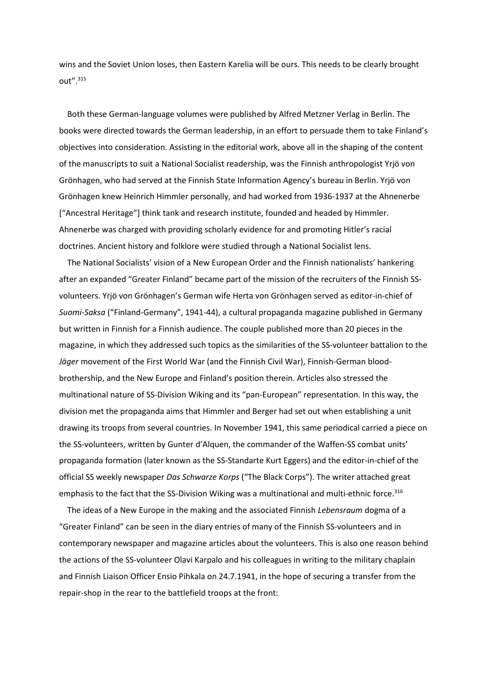wins and the Soviet Union loses, then Eastern Karelia will be ours. This needs to be clearly brought out".<sup>315</sup>

 Both these German-language volumes were published by Alfred Metzner Verlag in Berlin. The books were directed towards the German leadership, in an effort to persuade them to take Finland's objectives into consideration. Assisting in the editorial work, above all in the shaping of the content of the manuscripts to suit a National Socialist readership, was the Finnish anthropologist Yrjö von Grönhagen, who had served at the Finnish State Information Agency's bureau in Berlin. Yrjö von Grönhagen knew Heinrich Himmler personally, and had worked from 1936-1937 at the Ahnenerbe ["Ancestral Heritage"] think tank and research institute, founded and headed by Himmler. Ahnenerbe was charged with providing scholarly evidence for and promoting Hitler's racial doctrines. Ancient history and folklore were studied through a National Socialist lens.

 The National Socialists' vision of a New European Order and the Finnish nationalists' hankering after an expanded "Greater Finland" became part of the mission of the recruiters of the Finnish SSvolunteers. Yrjö von Grönhagen's German wife Herta von Grönhagen served as editor-in-chief of *Suomi-Saksa* ("Finland-Germany", 1941-44), a cultural propaganda magazine published in Germany but written in Finnish for a Finnish audience. The couple published more than 20 pieces in the magazine, in which they addressed such topics as the similarities of the SS-volunteer battalion to the *Jäger* movement of the First World War (and the Finnish Civil War), Finnish-German bloodbrothership, and the New Europe and Finland's position therein. Articles also stressed the multinational nature of SS-Division Wiking and its "pan-European" representation. In this way, the division met the propaganda aims that Himmler and Berger had set out when establishing a unit drawing its troops from several countries. In November 1941, this same periodical carried a piece on the SS-volunteers, written by Gunter d'Alquen, the commander of the Waffen-SS combat units' propaganda formation (later known as the SS-Standarte Kurt Eggers) and the editor-in-chief of the official SS weekly newspaper *Das Schwarze Korps* ("The Black Corps"). The writer attached great emphasis to the fact that the SS-Division Wiking was a multinational and multi-ethnic force.<sup>316</sup>

 The ideas of a New Europe in the making and the associated Finnish *Lebensraum* dogma of a "Greater Finland" can be seen in the diary entries of many of the Finnish SS-volunteers and in contemporary newspaper and magazine articles about the volunteers. This is also one reason behind the actions of the SS-volunteer Olavi Karpalo and his colleagues in writing to the military chaplain and Finnish Liaison Officer Ensio Pihkala on 24.7.1941, in the hope of securing a transfer from the repair-shop in the rear to the battlefield troops at the front: